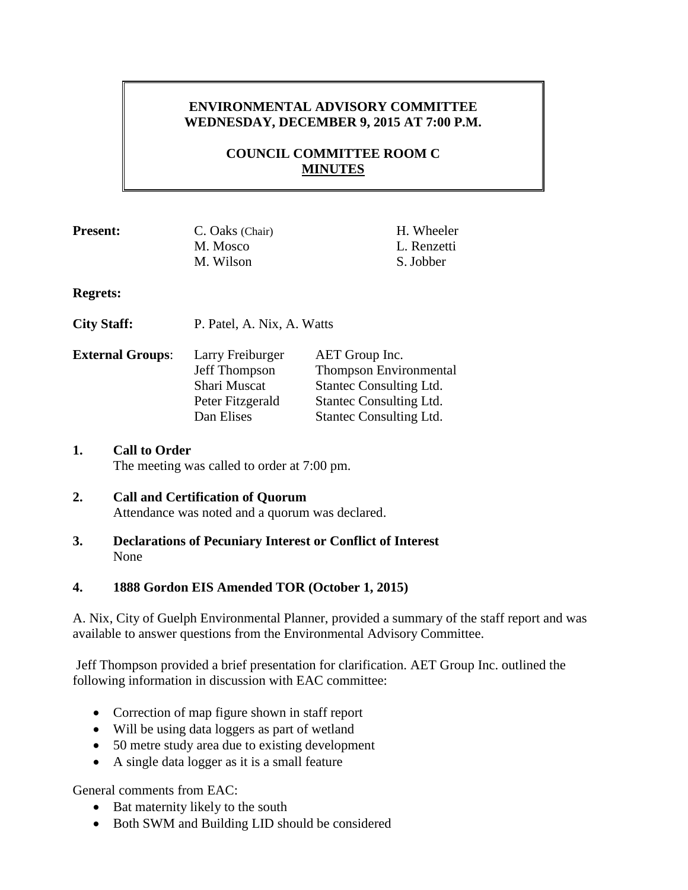# **ENVIRONMENTAL ADVISORY COMMITTEE WEDNESDAY, DECEMBER 9, 2015 AT 7:00 P.M.**

# **COUNCIL COMMITTEE ROOM C MINUTES**

| <b>Present:</b>         | C. Oaks (Chair)                   | H. Wheeler                               |
|-------------------------|-----------------------------------|------------------------------------------|
|                         | M. Mosco                          | L. Renzetti                              |
|                         | M. Wilson                         | S. Jobber                                |
| <b>Regrets:</b>         |                                   |                                          |
| <b>City Staff:</b>      | P. Patel, A. Nix, A. Watts        |                                          |
| <b>External Groups:</b> | Larry Freiburger<br>Jeff Thompson | AET Group Inc.<br>Thompson Environmental |

| Jeff Thompson    | Thompson Environmen            |
|------------------|--------------------------------|
| Shari Muscat     | Stantec Consulting Ltd.        |
| Peter Fitzgerald | Stantec Consulting Ltd.        |
| Dan Elises       | <b>Stantec Consulting Ltd.</b> |
|                  |                                |

### **1. Call to Order**

The meeting was called to order at 7:00 pm.

# **2. Call and Certification of Quorum**

Attendance was noted and a quorum was declared.

**3. Declarations of Pecuniary Interest or Conflict of Interest** None

### **4. 1888 Gordon EIS Amended TOR (October 1, 2015)**

A. Nix, City of Guelph Environmental Planner, provided a summary of the staff report and was available to answer questions from the Environmental Advisory Committee.

Jeff Thompson provided a brief presentation for clarification. AET Group Inc. outlined the following information in discussion with EAC committee:

- Correction of map figure shown in staff report
- Will be using data loggers as part of wetland
- 50 metre study area due to existing development
- A single data logger as it is a small feature

General comments from EAC:

- Bat maternity likely to the south
- Both SWM and Building LID should be considered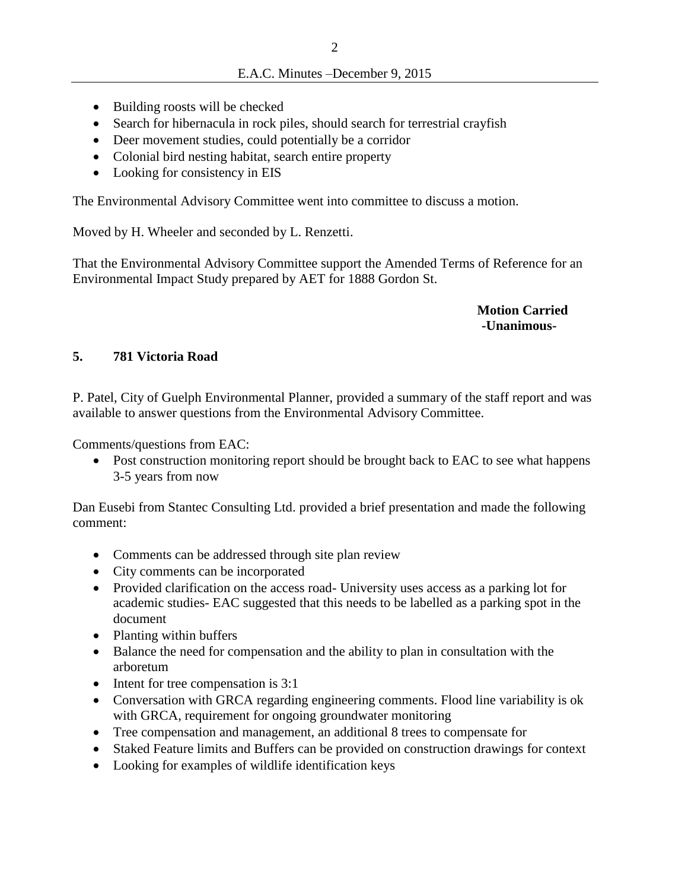- Building roosts will be checked
- Search for hibernacula in rock piles, should search for terrestrial crayfish
- Deer movement studies, could potentially be a corridor
- Colonial bird nesting habitat, search entire property
- Looking for consistency in EIS

The Environmental Advisory Committee went into committee to discuss a motion.

Moved by H. Wheeler and seconded by L. Renzetti.

That the Environmental Advisory Committee support the Amended Terms of Reference for an Environmental Impact Study prepared by AET for 1888 Gordon St.

> **Motion Carried -Unanimous-**

## **5. 781 Victoria Road**

P. Patel, City of Guelph Environmental Planner, provided a summary of the staff report and was available to answer questions from the Environmental Advisory Committee.

Comments/questions from EAC:

• Post construction monitoring report should be brought back to EAC to see what happens 3-5 years from now

Dan Eusebi from Stantec Consulting Ltd. provided a brief presentation and made the following comment:

- Comments can be addressed through site plan review
- City comments can be incorporated
- Provided clarification on the access road- University uses access as a parking lot for academic studies- EAC suggested that this needs to be labelled as a parking spot in the document
- Planting within buffers
- Balance the need for compensation and the ability to plan in consultation with the arboretum
- $\bullet$  Intent for tree compensation is 3:1
- Conversation with GRCA regarding engineering comments. Flood line variability is ok with GRCA, requirement for ongoing groundwater monitoring
- Tree compensation and management, an additional 8 trees to compensate for
- Staked Feature limits and Buffers can be provided on construction drawings for context
- Looking for examples of wildlife identification keys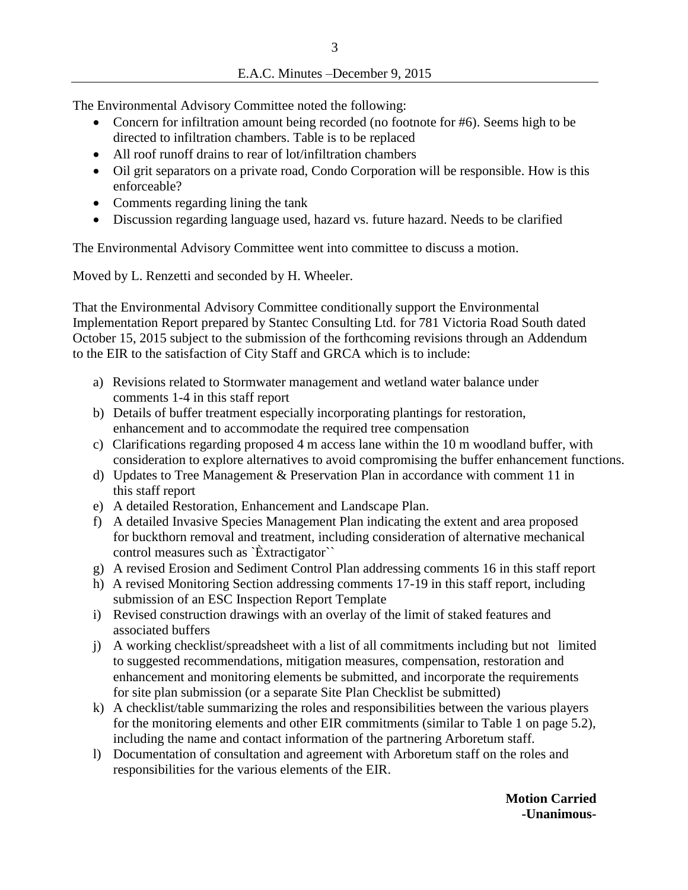The Environmental Advisory Committee noted the following:

- Concern for infiltration amount being recorded (no footnote for #6). Seems high to be directed to infiltration chambers. Table is to be replaced
- All roof runoff drains to rear of lot/infiltration chambers
- Oil grit separators on a private road, Condo Corporation will be responsible. How is this enforceable?
- Comments regarding lining the tank
- Discussion regarding language used, hazard vs. future hazard. Needs to be clarified

The Environmental Advisory Committee went into committee to discuss a motion.

Moved by L. Renzetti and seconded by H. Wheeler.

That the Environmental Advisory Committee conditionally support the Environmental Implementation Report prepared by Stantec Consulting Ltd. for 781 Victoria Road South dated October 15, 2015 subject to the submission of the forthcoming revisions through an Addendum to the EIR to the satisfaction of City Staff and GRCA which is to include:

- a) Revisions related to Stormwater management and wetland water balance under comments 1-4 in this staff report
- b) Details of buffer treatment especially incorporating plantings for restoration, enhancement and to accommodate the required tree compensation
- c) Clarifications regarding proposed 4 m access lane within the 10 m woodland buffer, with consideration to explore alternatives to avoid compromising the buffer enhancement functions.
- d) Updates to Tree Management & Preservation Plan in accordance with comment 11 in this staff report
- e) A detailed Restoration, Enhancement and Landscape Plan.
- f) A detailed Invasive Species Management Plan indicating the extent and area proposed for buckthorn removal and treatment, including consideration of alternative mechanical control measures such as `Èxtractigator``
- g) A revised Erosion and Sediment Control Plan addressing comments 16 in this staff report
- h) A revised Monitoring Section addressing comments 17-19 in this staff report, including submission of an ESC Inspection Report Template
- i) Revised construction drawings with an overlay of the limit of staked features and associated buffers
- j) A working checklist/spreadsheet with a list of all commitments including but not limited to suggested recommendations, mitigation measures, compensation, restoration and enhancement and monitoring elements be submitted, and incorporate the requirements for site plan submission (or a separate Site Plan Checklist be submitted)
- k) A checklist/table summarizing the roles and responsibilities between the various players for the monitoring elements and other EIR commitments (similar to Table 1 on page 5.2), including the name and contact information of the partnering Arboretum staff.
- l) Documentation of consultation and agreement with Arboretum staff on the roles and responsibilities for the various elements of the EIR.

**Motion Carried -Unanimous-**